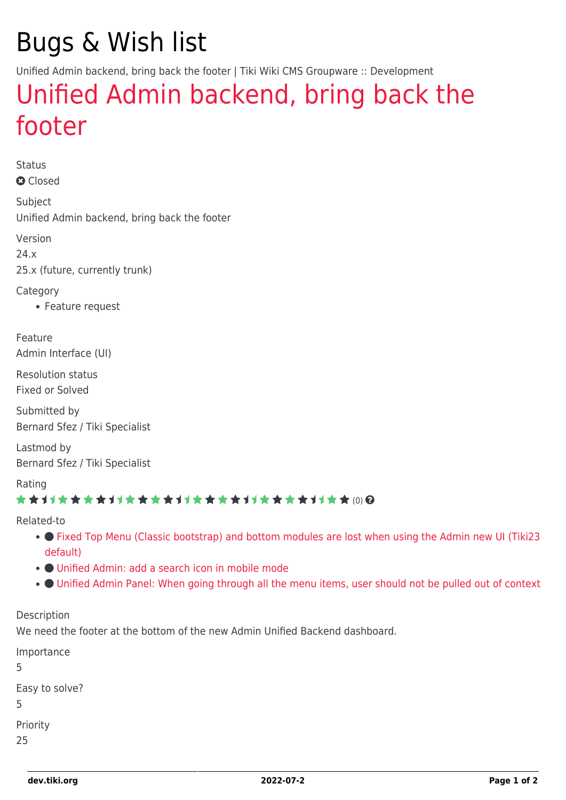# Bugs & Wish list

Unified Admin backend, bring back the footer | Tiki Wiki CMS Groupware :: Development

## [Unified Admin backend, bring back the](https://dev.tiki.org/item7991-Unified-Admin-backend-bring-back-the-footer) [footer](https://dev.tiki.org/item7991-Unified-Admin-backend-bring-back-the-footer)

Status **a** Closed

Subject Unified Admin backend, bring back the footer

Version 24.x 25.x (future, currently trunk)

**Category** 

Feature request

Feature Admin Interface (UI)

Resolution status Fixed or Solved

Submitted by Bernard Sfez / Tiki Specialist

Lastmod by Bernard Sfez / Tiki Specialist

Rating

#### (0)

Related-to

- • [Fixed Top Menu \(Classic bootstrap\) and bottom modules are lost when using the Admin new UI \(Tiki23](https://dev.tiki.org/item7814-Fixed-Top-Menu-Classic-bootstrap-and-bottom-modules-are-lost-when-using-the-Admin-new-UI-Tiki23-default) [default\)](https://dev.tiki.org/item7814-Fixed-Top-Menu-Classic-bootstrap-and-bottom-modules-are-lost-when-using-the-Admin-new-UI-Tiki23-default)
- [Unified Admin: add a search icon in mobile mode](https://dev.tiki.org/item7994-Unified-Admin-add-a-search-icon-in-mobile-mode)
- [Unified Admin Panel: When going through all the menu items, user should not be pulled out of context](https://dev.tiki.org/item7995-Unified-Admin-Panel-When-going-through-all-the-menu-items-user-should-not-be-pulled-out-of-context)

Description

We need the footer at the bottom of the new Admin Unified Backend dashboard.

Importance 5 Easy to solve? 5 Priority 25